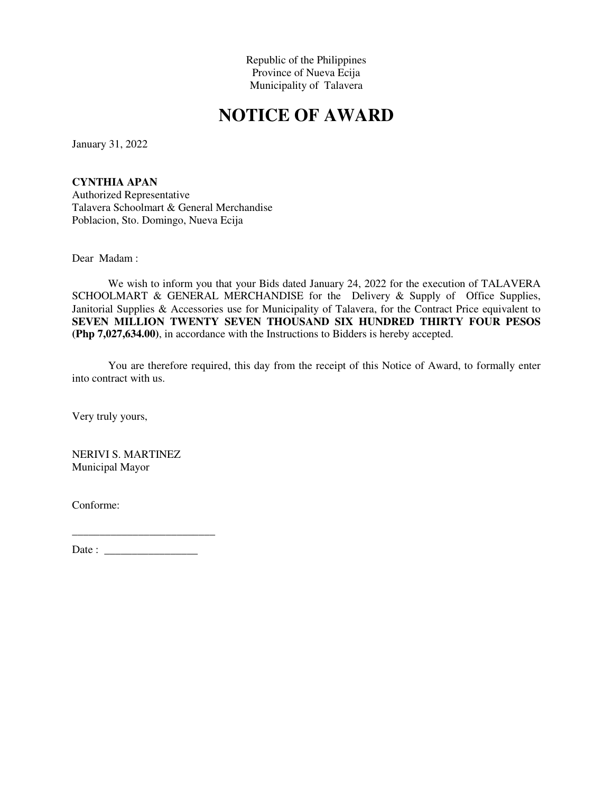# **NOTICE OF AWARD**

January 31, 2022

**CYNTHIA APAN**  Authorized Representative Talavera Schoolmart & General Merchandise Poblacion, Sto. Domingo, Nueva Ecija

Dear Madam :

We wish to inform you that your Bids dated January 24, 2022 for the execution of TALAVERA SCHOOLMART & GENERAL MERCHANDISE for the Delivery & Supply of Office Supplies, Janitorial Supplies & Accessories use for Municipality of Talavera, for the Contract Price equivalent to **SEVEN MILLION TWENTY SEVEN THOUSAND SIX HUNDRED THIRTY FOUR PESOS (Php 7,027,634.00)**, in accordance with the Instructions to Bidders is hereby accepted.

You are therefore required, this day from the receipt of this Notice of Award, to formally enter into contract with us.

Very truly yours,

NERIVI S. MARTINEZ Municipal Mayor

Conforme: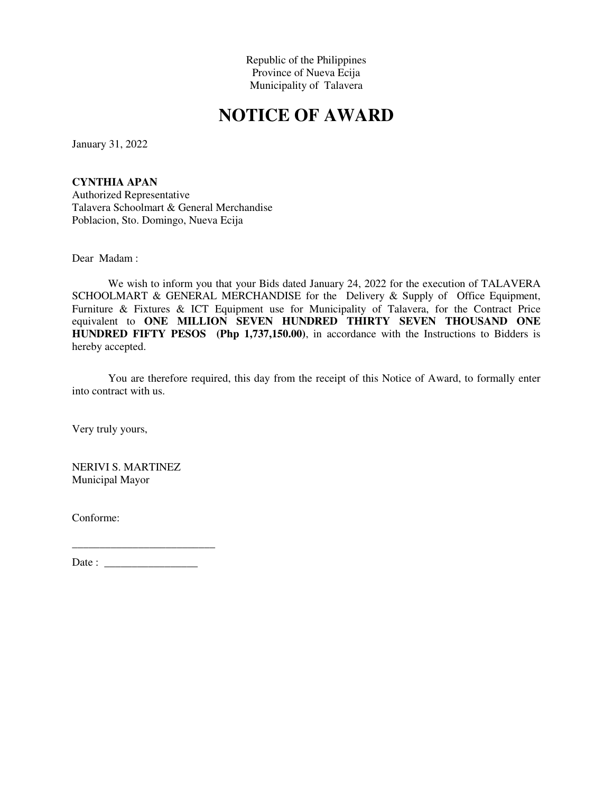# **NOTICE OF AWARD**

January 31, 2022

**CYNTHIA APAN**  Authorized Representative Talavera Schoolmart & General Merchandise Poblacion, Sto. Domingo, Nueva Ecija

Dear Madam :

We wish to inform you that your Bids dated January 24, 2022 for the execution of TALAVERA SCHOOLMART & GENERAL MERCHANDISE for the Delivery & Supply of Office Equipment, Furniture & Fixtures & ICT Equipment use for Municipality of Talavera, for the Contract Price equivalent to **ONE MILLION SEVEN HUNDRED THIRTY SEVEN THOUSAND ONE HUNDRED FIFTY PESOS (Php 1,737,150.00)**, in accordance with the Instructions to Bidders is hereby accepted.

You are therefore required, this day from the receipt of this Notice of Award, to formally enter into contract with us.

Very truly yours,

NERIVI S. MARTINEZ Municipal Mayor

Conforme:

Date : \_\_\_\_\_\_\_\_\_\_\_\_\_\_\_\_\_

 $\_$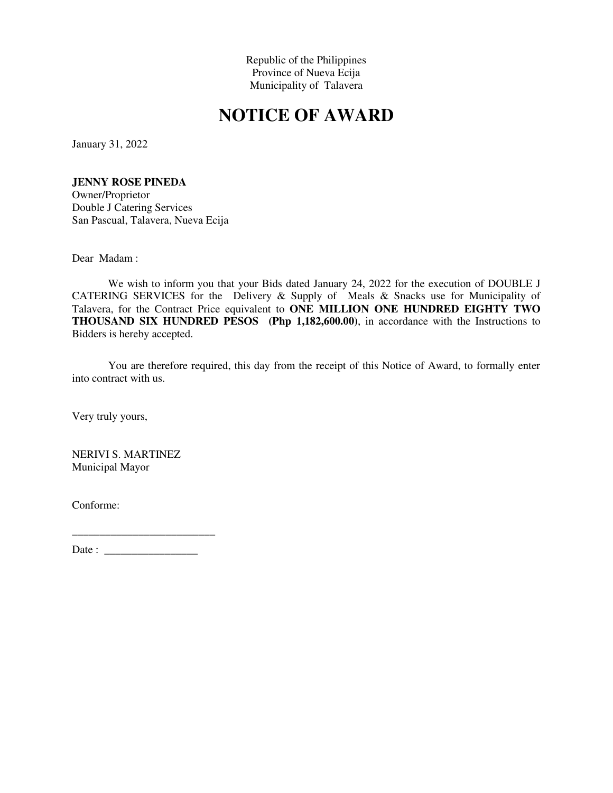# **NOTICE OF AWARD**

January 31, 2022

#### **JENNY ROSE PINEDA**

Owner/Proprietor Double J Catering Services San Pascual, Talavera, Nueva Ecija

Dear Madam :

We wish to inform you that your Bids dated January 24, 2022 for the execution of DOUBLE J CATERING SERVICES for the Delivery & Supply of Meals & Snacks use for Municipality of Talavera, for the Contract Price equivalent to **ONE MILLION ONE HUNDRED EIGHTY TWO THOUSAND SIX HUNDRED PESOS (Php 1,182,600.00)**, in accordance with the Instructions to Bidders is hereby accepted.

You are therefore required, this day from the receipt of this Notice of Award, to formally enter into contract with us.

Very truly yours,

NERIVI S. MARTINEZ Municipal Mayor

Conforme: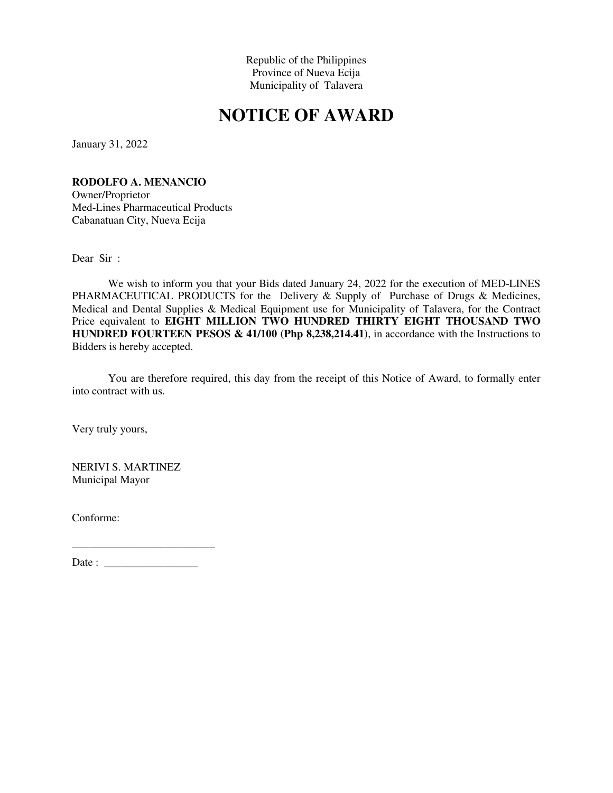# **NOTICE OF AWARD**

January 31, 2022

#### **RODOLFO A. MENANCIO**

Owner/Proprietor Med-Lines Pharmaceutical Products Cabanatuan City, Nueva Ecija

Dear Sir :

We wish to inform you that your Bids dated January 24, 2022 for the execution of MED-LINES PHARMACEUTICAL PRODUCTS for the Delivery & Supply of Purchase of Drugs & Medicines, Medical and Dental Supplies & Medical Equipment use for Municipality of Talavera, for the Contract Price equivalent to **EIGHT MILLION TWO HUNDRED THIRTY EIGHT THOUSAND TWO HUNDRED FOURTEEN PESOS & 41/100 (Php 8,238,214.41)**, in accordance with the Instructions to Bidders is hereby accepted.

You are therefore required, this day from the receipt of this Notice of Award, to formally enter into contract with us.

Very truly yours,

NERIVI S. MARTINEZ Municipal Mayor

Conforme:

Date : \_\_\_\_\_\_\_\_\_\_\_\_\_\_\_\_\_

 $\_$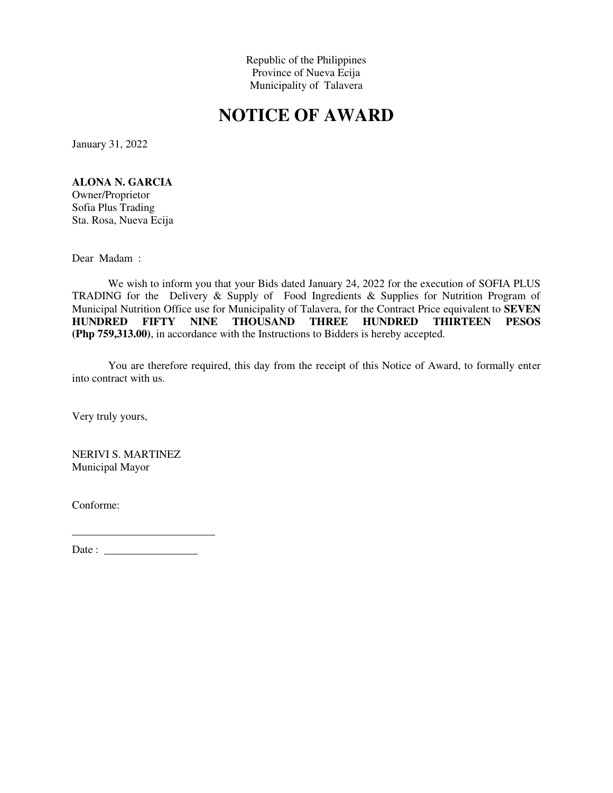# **NOTICE OF AWARD**

January 31, 2022

**ALONA N. GARCIA** 

Owner/Proprietor Sofia Plus Trading Sta. Rosa, Nueva Ecija

Dear Madam :

We wish to inform you that your Bids dated January 24, 2022 for the execution of SOFIA PLUS TRADING for the Delivery & Supply of Food Ingredients & Supplies for Nutrition Program of Municipal Nutrition Office use for Municipality of Talavera, for the Contract Price equivalent to **SEVEN**<br> **HUNDRED** FIFTY NINE THOUSAND THREE HUNDRED THIRTEEN PESOS THOUSAND THREE HUNDRED THIRTEEN PESOS **(Php 759,313.00)**, in accordance with the Instructions to Bidders is hereby accepted.

You are therefore required, this day from the receipt of this Notice of Award, to formally enter into contract with us.

Very truly yours,

NERIVI S. MARTINEZ Municipal Mayor

Conforme: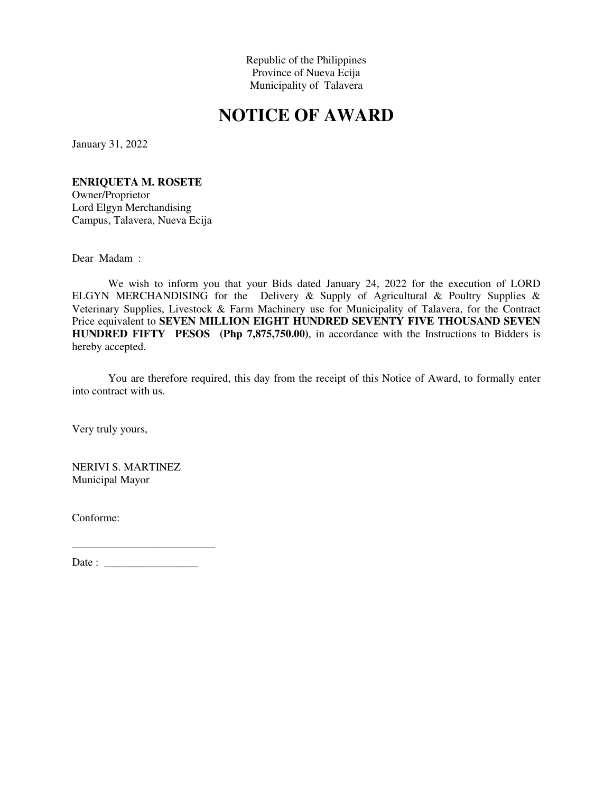# **NOTICE OF AWARD**

January 31, 2022

#### **ENRIQUETA M. ROSETE**

Owner/Proprietor Lord Elgyn Merchandising Campus, Talavera, Nueva Ecija

Dear Madam :

We wish to inform you that your Bids dated January 24, 2022 for the execution of LORD ELGYN MERCHANDISING for the Delivery & Supply of Agricultural & Poultry Supplies & Veterinary Supplies, Livestock & Farm Machinery use for Municipality of Talavera, for the Contract Price equivalent to **SEVEN MILLION EIGHT HUNDRED SEVENTY FIVE THOUSAND SEVEN HUNDRED FIFTY PESOS (Php 7,875,750.00)**, in accordance with the Instructions to Bidders is hereby accepted.

You are therefore required, this day from the receipt of this Notice of Award, to formally enter into contract with us.

Very truly yours,

NERIVI S. MARTINEZ Municipal Mayor

Conforme:

Date : \_\_\_\_\_\_\_\_\_\_\_\_\_\_\_\_\_

 $\_$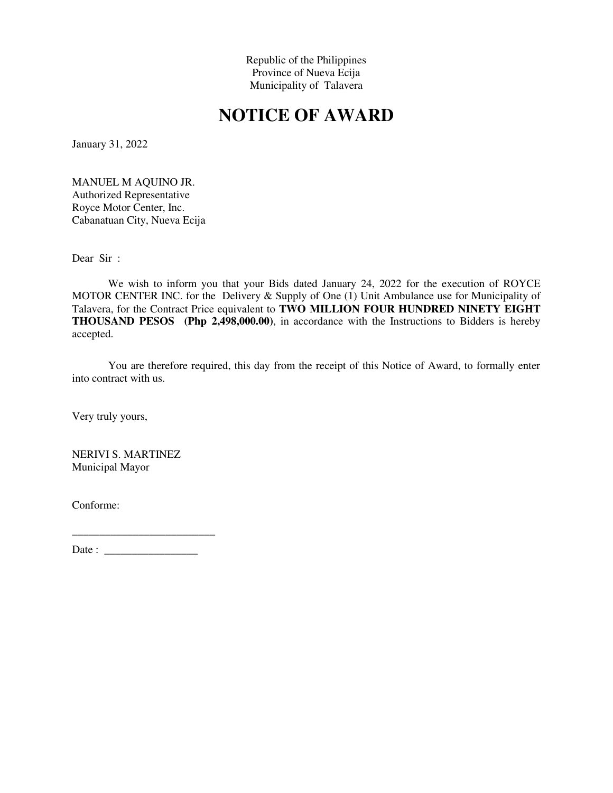# **NOTICE OF AWARD**

January 31, 2022

MANUEL M AQUINO JR. Authorized Representative Royce Motor Center, Inc. Cabanatuan City, Nueva Ecija

Dear Sir :

We wish to inform you that your Bids dated January 24, 2022 for the execution of ROYCE MOTOR CENTER INC. for the Delivery & Supply of One (1) Unit Ambulance use for Municipality of Talavera, for the Contract Price equivalent to **TWO MILLION FOUR HUNDRED NINETY EIGHT THOUSAND PESOS (Php 2,498,000.00)**, in accordance with the Instructions to Bidders is hereby accepted.

You are therefore required, this day from the receipt of this Notice of Award, to formally enter into contract with us.

Very truly yours,

NERIVI S. MARTINEZ Municipal Mayor

Conforme: